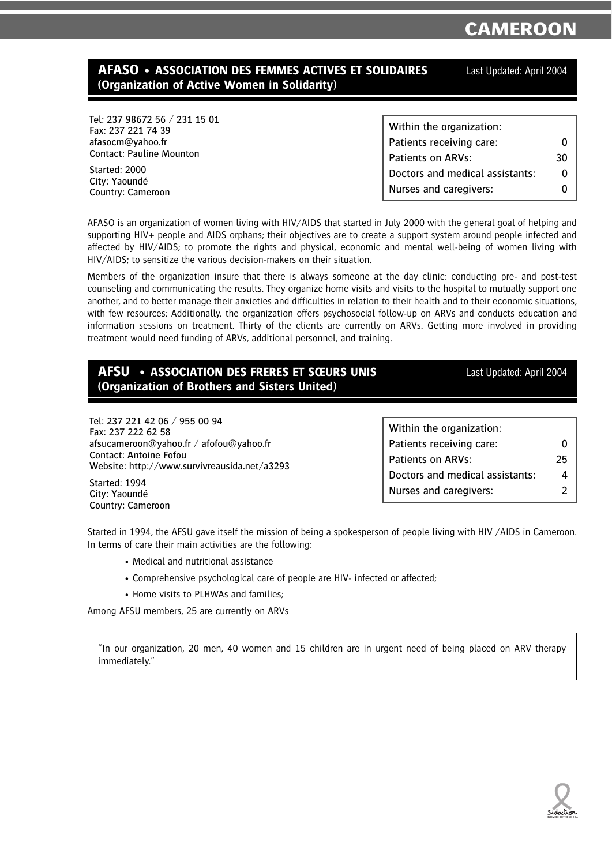## **AFASO • ASSOCIATION DES FEMMES ACTIVES ET SOLIDAIRES** Last Updated: April 2004 **(Organization of Active Women in Solidarity)**

Tel: 237 98672 56 / 231 15 01 Fax: 237 221 74 39 afasocm@yahoo.fr Contact: Pauline Mounton

Started: 2000 City: Yaoundé Country: Cameroon

| Within the organization:        |    |
|---------------------------------|----|
| Patients receiving care:        |    |
| Patients on ARVs:               | 30 |
| Doctors and medical assistants: | O  |
| Nurses and caregivers:          |    |

AFASO is an organization of women living with HIV/AIDS that started in July 2000 with the general goal of helping and supporting HIV+ people and AIDS orphans; their objectives are to create a support system around people infected and affected by HIV/AIDS; to promote the rights and physical, economic and mental well-being of women living with HIV/AIDS; to sensitize the various decision-makers on their situation.

Members of the organization insure that there is always someone at the day clinic: conducting pre- and post-test counseling and communicating the results. They organize home visits and visits to the hospital to mutually support one another, and to better manage their anxieties and difficulties in relation to their health and to their economic situations, with few resources; Additionally, the organization offers psychosocial follow-up on ARVs and conducts education and information sessions on treatment. Thirty of the clients are currently on ARVs. Getting more involved in providing treatment would need funding of ARVs, additional personnel, and training.

| AFSU • ASSOCIATION DES FRERES ET SŒURS UNIS          | Last Updated: April 2004 |
|------------------------------------------------------|--------------------------|
| <b>(Organization of Brothers and Sisters United)</b> |                          |

Tel: 237 221 42 06 / 955 00 94 Fax: 237 222 62 58 afsucameroon@yahoo.fr / afofou@yahoo.fr Contact: Antoine Fofou Website: http://www.survivreausida.net/a3293 Within the organization: Patients receiving care: 0 Patients on ARVs: 25 Doctors and medical assistants: 4 Nurses and caregivers: 2

Started: 1994 City: Yaoundé Country: Cameroon

Started in 1994, the AFSU gave itself the mission of being a spokesperson of people living with HIV /AIDS in Cameroon. In terms of care their main activities are the following:

- Medical and nutritional assistance
- Comprehensive psychological care of people are HIV- infected or affected;
- Home visits to PLHWAs and families;

Among AFSU members, 25 are currently on ARVs

"In our organization, 20 men, 40 women and 15 children are in urgent need of being placed on ARV therapy immediately."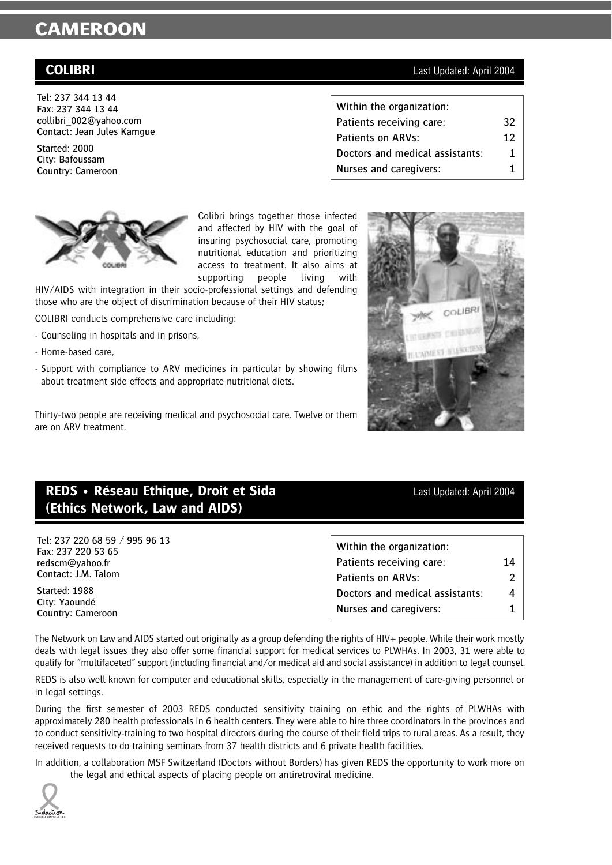Tel: 237 344 13 44 Fax: 237 344 13 44 collibri\_002@yahoo.com Contact: Jean Jules Kamgue

Started: 2000 City: Bafoussam Country: Cameroon



Colibri brings together those infected and affected by HIV with the goal of insuring psychosocial care, promoting nutritional education and prioritizing access to treatment. It also aims at supporting people living with

HIV/AIDS with integration in their socio-professional settings and defending those who are the object of discrimination because of their HIV status;

COLIBRI conducts comprehensive care including:

- Counseling in hospitals and in prisons,
- Home-based care,
- Support with compliance to ARV medicines in particular by showing films about treatment side effects and appropriate nutritional diets.

Thirty-two people are receiving medical and psychosocial care. Twelve or them are on ARV treatment.

## **REDS** • Réseau Ethique, Droit et Sida **Last Updated: April 2004 (Ethics Network, Law and AIDS)**

Tel: 237 220 68 59 / 995 96 13 Fax: 237 220 53 65 redscm@yahoo.fr Contact: J.M. Talom

Started: 1988 City: Yaoundé Country: Cameroon Within the organization: Patients receiving care: 14 Patients on ARVs: 2 Doctors and medical assistants: 4 Nurses and caregivers: 1

The Network on Law and AIDS started out originally as a group defending the rights of HIV+ people. While their work mostly deals with legal issues they also offer some financial support for medical services to PLWHAs. In 2003, 31 were able to qualify for "multifaceted" support (including financial and/or medical aid and social assistance) in addition to legal counsel.

REDS is also well known for computer and educational skills, especially in the management of care-giving personnel or in legal settings.

During the first semester of 2003 REDS conducted sensitivity training on ethic and the rights of PLWHAs with approximately 280 health professionals in 6 health centers. They were able to hire three coordinators in the provinces and to conduct sensitivity-training to two hospital directors during the course of their field trips to rural areas. As a result, they received requests to do training seminars from 37 health districts and 6 private health facilities.

In addition, a collaboration MSF Switzerland (Doctors without Borders) has given REDS the opportunity to work more on the legal and ethical aspects of placing people on antiretroviral medicine.

### **COLIBRI** Last Updated: April 2004

| Within the organization:        |    |
|---------------------------------|----|
| Patients receiving care:        | 32 |
| Patients on ARVs:               | 12 |
| Doctors and medical assistants: | 1. |
| Nurses and caregivers:          | 1  |



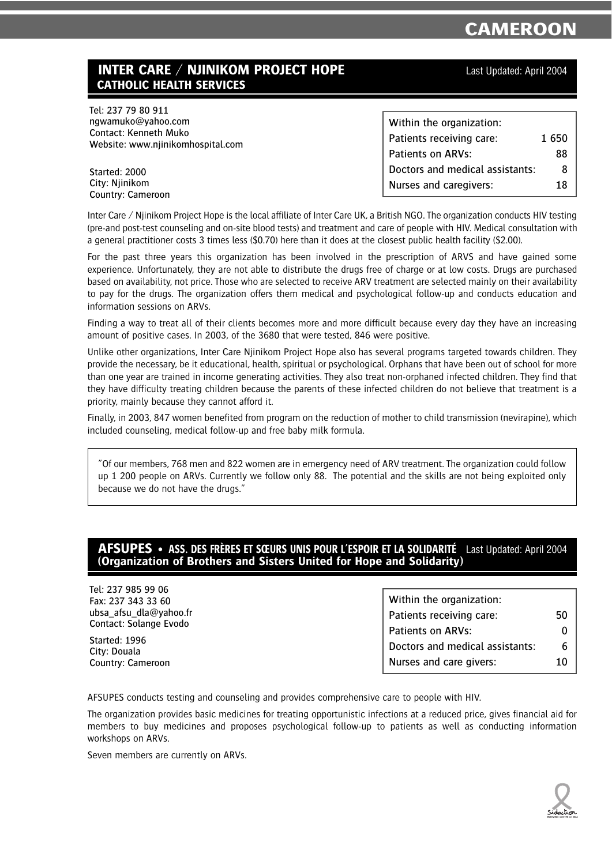## **INTER CARE / NJINIKOM PROJECT HOPE** Last Updated: April 2004 **CATHOLIC HEALTH SERVICES**

Tel: 237 79 80 911 ngwamuko@yahoo.com Contact: Kenneth Muko Website: www.njinikomhospital.com

| Within the organization:        |       |
|---------------------------------|-------|
| Patients receiving care:        | 1 650 |
| Patients on ARVs:               | 88    |
| Doctors and medical assistants: | 8     |
| Nurses and caregivers:          | 18    |

Started: 2000 City: Njinikom Country: Cameroon

Inter Care / Njinikom Project Hope is the local affiliate of Inter Care UK, a British NGO. The organization conducts HIV testing (pre-and post-test counseling and on-site blood tests) and treatment and care of people with HIV. Medical consultation with a general practitioner costs 3 times less (\$0.70) here than it does at the closest public health facility (\$2.00).

For the past three years this organization has been involved in the prescription of ARVS and have gained some experience. Unfortunately, they are not able to distribute the drugs free of charge or at low costs. Drugs are purchased based on availability, not price. Those who are selected to receive ARV treatment are selected mainly on their availability to pay for the drugs. The organization offers them medical and psychological follow-up and conducts education and information sessions on ARVs.

Finding a way to treat all of their clients becomes more and more difficult because every day they have an increasing amount of positive cases. In 2003, of the 3680 that were tested, 846 were positive.

Unlike other organizations, Inter Care Njinikom Project Hope also has several programs targeted towards children. They provide the necessary, be it educational, health, spiritual or psychological. Orphans that have been out of school for more than one year are trained in income generating activities. They also treat non-orphaned infected children. They find that they have difficulty treating children because the parents of these infected children do not believe that treatment is a priority, mainly because they cannot afford it.

Finally, in 2003, 847 women benefited from program on the reduction of mother to child transmission (nevirapine), which included counseling, medical follow-up and free baby milk formula.

"Of our members, 768 men and 822 women are in emergency need of ARV treatment. The organization could follow up 1 200 people on ARVs. Currently we follow only 88. The potential and the skills are not being exploited only because we do not have the drugs."

### **AFSUPES • ASS. DES FRÈRES ET SŒURS UNIS POUR L'ESPOIR ET LA SOLIDARITÉ** Last Updated: April 2004 **(Organization of Brothers and Sisters United for Hope and Solidarity)**

Tel: 237 985 99 06 Fax: 237 343 33 60 ubsa\_afsu\_dla@yahoo.fr Contact: Solange Evodo

Started: 1996 City: Douala Country: Cameroon Within the organization: Patients receiving care: 50 Patients on ARVs: 0 Doctors and medical assistants: 6 Nurses and care givers: 10

AFSUPES conducts testing and counseling and provides comprehensive care to people with HIV.

The organization provides basic medicines for treating opportunistic infections at a reduced price, gives financial aid for members to buy medicines and proposes psychological follow-up to patients as well as conducting information workshops on ARVs.

Seven members are currently on ARVs.

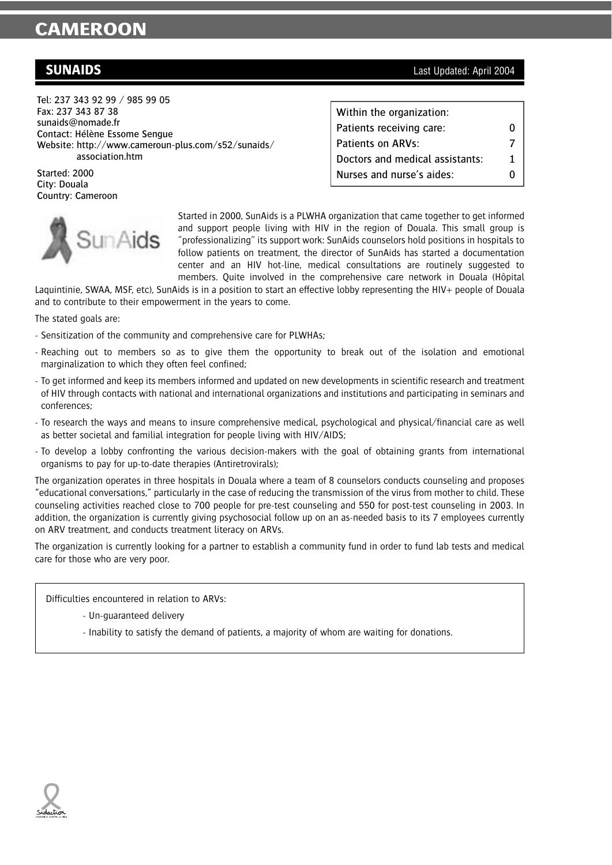Tel: 237 343 92 99 / 985 99 05 Fax: 237 343 87 38 sunaids@nomade.fr Contact: Hélène Essome Sengue Website: http://www.cameroun-plus.com/s52/sunaids/ association.htm

Started: 2000 City: Douala Country: Cameroon



Started in 2000, SunAids is a PLWHA organization that came together to get informed and support people living with HIV in the region of Douala. This small group is "professionalizing" its support work: SunAids counselors hold positions in hospitals to follow patients on treatment, the director of SunAids has started a documentation center and an HIV hot-line, medical consultations are routinely suggested to members. Quite involved in the comprehensive care network in Douala (Hôpital

Laquintinie, SWAA, MSF, etc), SunAids is in a position to start an effective lobby representing the HIV+ people of Douala and to contribute to their empowerment in the years to come.

The stated goals are:

- Sensitization of the community and comprehensive care for PLWHAs;
- Reaching out to members so as to give them the opportunity to break out of the isolation and emotional marginalization to which they often feel confined;
- To get informed and keep its members informed and updated on new developments in scientific research and treatment of HIV through contacts with national and international organizations and institutions and participating in seminars and conferences;
- To research the ways and means to insure comprehensive medical, psychological and physical/financial care as well as better societal and familial integration for people living with HIV/AIDS;
- To develop a lobby confronting the various decision-makers with the goal of obtaining grants from international organisms to pay for up-to-date therapies (Antiretrovirals);

The organization operates in three hospitals in Douala where a team of 8 counselors conducts counseling and proposes "educational conversations," particularly in the case of reducing the transmission of the virus from mother to child. These counseling activities reached close to 700 people for pre-test counseling and 550 for post-test counseling in 2003. In addition, the organization is currently giving psychosocial follow up on an as-needed basis to its 7 employees currently on ARV treatment, and conducts treatment literacy on ARVs.

The organization is currently looking for a partner to establish a community fund in order to fund lab tests and medical care for those who are very poor.

Difficulties encountered in relation to ARVs:

- Un-guaranteed delivery
- Inability to satisfy the demand of patients, a majority of whom are waiting for donations.

**SUNAIDS** Last Updated: April 2004

| Within the organization:        |   |
|---------------------------------|---|
| Patients receiving care:        | O |
| Patients on ARVs:               |   |
| Doctors and medical assistants: | 1 |
| Nurses and nurse's aides:       |   |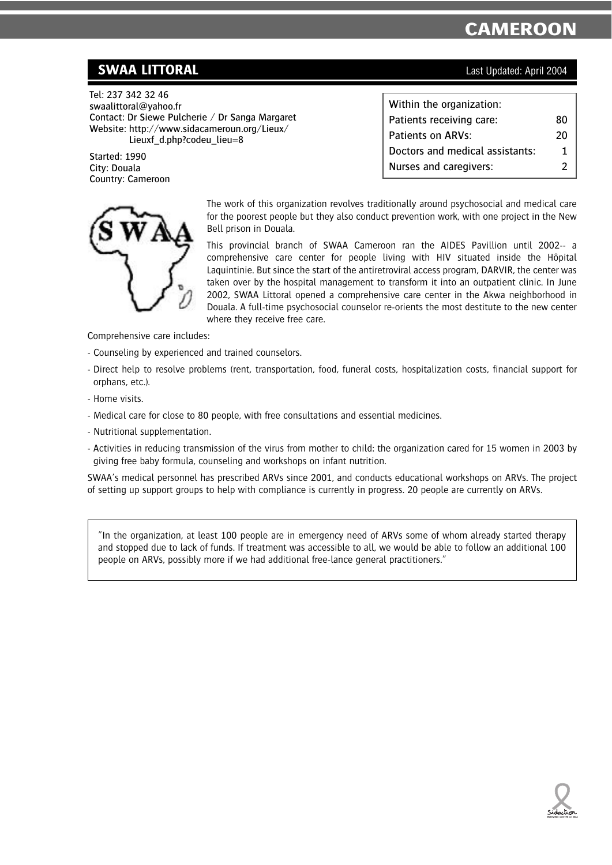## **SWAA LITTORAL** Last Updated: April 2004

Tel: 237 342 32 46 swaalittoral@yahoo.fr Contact: Dr Siewe Pulcherie / Dr Sanga Margaret Website: http://www.sidacameroun.org/Lieux/ Lieuxf d.php?codeu lieu=8

Started: 1990 City: Douala Country: Cameroon

| Within the organization:        |    |
|---------------------------------|----|
| Patients receiving care:        | 80 |
| Patients on ARVs:               | 20 |
| Doctors and medical assistants: | 1. |
| Nurses and caregivers:          | 2  |



The work of this organization revolves traditionally around psychosocial and medical care for the poorest people but they also conduct prevention work, with one project in the New Bell prison in Douala.

This provincial branch of SWAA Cameroon ran the AIDES Pavillion until 2002-- a comprehensive care center for people living with HIV situated inside the Hôpital Laquintinie. But since the start of the antiretroviral access program, DARVIR, the center was taken over by the hospital management to transform it into an outpatient clinic. In June 2002, SWAA Littoral opened a comprehensive care center in the Akwa neighborhood in Douala. A full-time psychosocial counselor re-orients the most destitute to the new center where they receive free care.

Comprehensive care includes:

- Counseling by experienced and trained counselors.
- Direct help to resolve problems (rent, transportation, food, funeral costs, hospitalization costs, financial support for orphans, etc.).
- Home visits.
- Medical care for close to 80 people, with free consultations and essential medicines.
- Nutritional supplementation.
- Activities in reducing transmission of the virus from mother to child: the organization cared for 15 women in 2003 by giving free baby formula, counseling and workshops on infant nutrition.

SWAA's medical personnel has prescribed ARVs since 2001, and conducts educational workshops on ARVs. The project of setting up support groups to help with compliance is currently in progress. 20 people are currently on ARVs.

"In the organization, at least 100 people are in emergency need of ARVs some of whom already started therapy and stopped due to lack of funds. If treatment was accessible to all, we would be able to follow an additional 100 people on ARVs, possibly more if we had additional free-lance general practitioners."